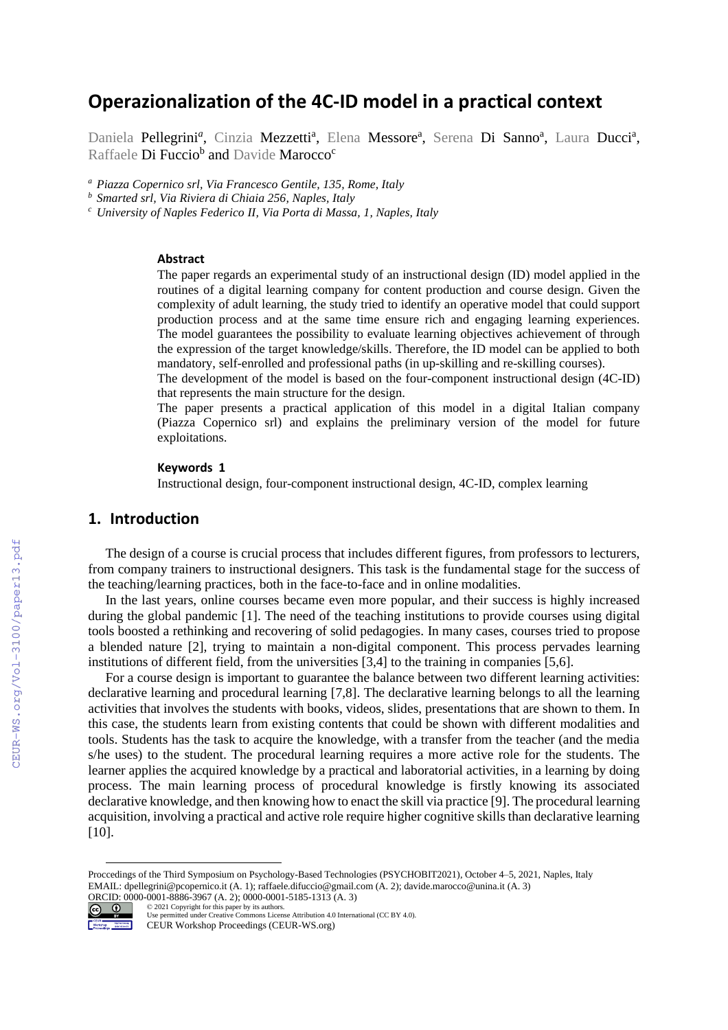# **Operazionalization of the 4C-ID model in a practical context**

Daniela Pellegrini<sup>a</sup>, Cinzia Mezzetti<sup>a</sup>, Elena Messore<sup>a</sup>, Serena Di Sanno<sup>a</sup>, Laura Ducci<sup>a</sup>, Raffaele **Di Fuccio<sup>b</sup> and** Davide **Marocco<sup>c</sup>** 

*<sup>a</sup> Piazza Copernico srl, Via Francesco Gentile, 135, Rome, Italy* 

*<sup>b</sup> Smarted srl, Via Riviera di Chiaia 256, Naples, Italy*

*<sup>c</sup> University of Naples Federico II, Via Porta di Massa, 1, Naples, Italy*

#### **Abstract**

The paper regards an experimental study of an instructional design (ID) model applied in the routines of a digital learning company for content production and course design. Given the complexity of adult learning, the study tried to identify an operative model that could support production process and at the same time ensure rich and engaging learning experiences. The model guarantees the possibility to evaluate learning objectives achievement of through the expression of the target knowledge/skills. Therefore, the ID model can be applied to both mandatory, self-enrolled and professional paths (in up-skilling and re-skilling courses).

The development of the model is based on the four-component instructional design (4C-ID) that represents the main structure for the design.

The paper presents a practical application of this model in a digital Italian company (Piazza Copernico srl) and explains the preliminary version of the model for future exploitations.

#### **Keywords 1**

Instructional design, four-component instructional design, 4C-ID, complex learning

# **1. Introduction**

The design of a course is crucial process that includes different figures, from professors to lecturers, from company trainers to instructional designers. This task is the fundamental stage for the success of the teaching/learning practices, both in the face-to-face and in online modalities.

In the last years, online courses became even more popular, and their success is highly increased during the global pandemic [1]. The need of the teaching institutions to provide courses using digital tools boosted a rethinking and recovering of solid pedagogies. In many cases, courses tried to propose a blended nature [2], trying to maintain a non-digital component. This process pervades learning institutions of different field, from the universities [3,4] to the training in companies [5,6].

For a course design is important to guarantee the balance between two different learning activities: declarative learning and procedural learning [7,8]. The declarative learning belongs to all the learning activities that involves the students with books, videos, slides, presentations that are shown to them. In this case, the students learn from existing contents that could be shown with different modalities and tools. Students has the task to acquire the knowledge, with a transfer from the teacher (and the media s/he uses) to the student. The procedural learning requires a more active role for the students. The learner applies the acquired knowledge by a practical and laboratorial activities, in a learning by doing process. The main learning process of procedural knowledge is firstly knowing its associated declarative knowledge, and then knowing how to enact the skill via practice [9]. The procedural learning acquisition, involving a practical and active role require higher cognitive skills than declarative learning [10].

Proccedings of the Third Symposium on Psychology-Based Technologies (PSYCHOBIT2021), October 4–5, 2021, Naples, Italy EMAIL: dpellegrini@pcopernico.it (A. 1); raffaele.difuccio@gmail.com (A. 2); davide.marocco@unina.it (A. 3)



ORCID: 0000-0001-8886-3967 (A. 2); 0000-0001-5185-1313 (A. 3)<br>  $\odot$  0 2021 Copyright for this paper by its authors. ©️ 2021 Copyright for this paper by its authors. Use permitted under Creative Commons License Attribution 4.0 International (CC BY 4.0). CEUR Workshop Proceedings (CEUR-WS.org)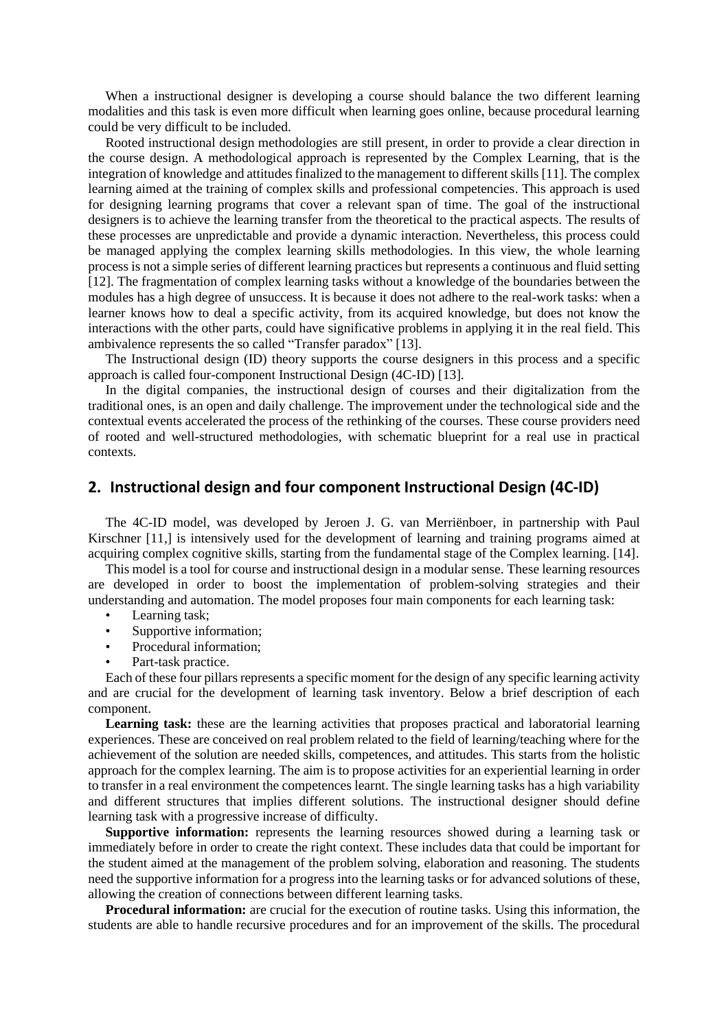When a instructional designer is developing a course should balance the two different learning modalities and this task is even more difficult when learning goes online, because procedural learning could be very difficult to be included.

Rooted instructional design methodologies are still present, in order to provide a clear direction in the course design. A methodological approach is represented by the Complex Learning, that is the integration of knowledge and attitudes finalized to the management to different skills [11]. The complex learning aimed at the training of complex skills and professional competencies. This approach is used for designing learning programs that cover a relevant span of time. The goal of the instructional designers is to achieve the learning transfer from the theoretical to the practical aspects. The results of these processes are unpredictable and provide a dynamic interaction. Nevertheless, this process could be managed applying the complex learning skills methodologies. In this view, the whole learning process is not a simple series of different learning practices but represents a continuous and fluid setting [12]. The fragmentation of complex learning tasks without a knowledge of the boundaries between the modules has a high degree of unsuccess. It is because it does not adhere to the real-work tasks: when a learner knows how to deal a specific activity, from its acquired knowledge, but does not know the interactions with the other parts, could have significative problems in applying it in the real field. This ambivalence represents the so called "Transfer paradox" [13].

The Instructional design (ID) theory supports the course designers in this process and a specific approach is called four-component Instructional Design (4C-ID) [13].

In the digital companies, the instructional design of courses and their digitalization from the traditional ones, is an open and daily challenge. The improvement under the technological side and the contextual events accelerated the process of the rethinking of the courses. These course providers need of rooted and well-structured methodologies, with schematic blueprint for a real use in practical contexts.

#### **2. Instructional design and four component Instructional Design (4C-ID)**

The 4C-ID model, was developed by Jeroen J. G. van Merriënboer, in partnership with Paul Kirschner [11,] is intensively used for the development of learning and training programs aimed at acquiring complex cognitive skills, starting from the fundamental stage of the Complex learning. [14].

This model is a tool for course and instructional design in a modular sense. These learning resources are developed in order to boost the implementation of problem-solving strategies and their understanding and automation. The model proposes four main components for each learning task:

- Learning task;
- Supportive information;
- Procedural information;
- Part-task practice.

Each of these four pillars represents a specific moment for the design of any specific learning activity and are crucial for the development of learning task inventory. Below a brief description of each component.

Learning task: these are the learning activities that proposes practical and laboratorial learning experiences. These are conceived on real problem related to the field of learning/teaching where for the achievement of the solution are needed skills, competences, and attitudes. This starts from the holistic approach for the complex learning. The aim is to propose activities for an experiential learning in order to transfer in a real environment the competences learnt. The single learning tasks has a high variability and different structures that implies different solutions. The instructional designer should define learning task with a progressive increase of difficulty.

**Supportive information:** represents the learning resources showed during a learning task or immediately before in order to create the right context. These includes data that could be important for the student aimed at the management of the problem solving, elaboration and reasoning. The students need the supportive information for a progress into the learning tasks or for advanced solutions of these, allowing the creation of connections between different learning tasks.

**Procedural information:** are crucial for the execution of routine tasks. Using this information, the students are able to handle recursive procedures and for an improvement of the skills. The procedural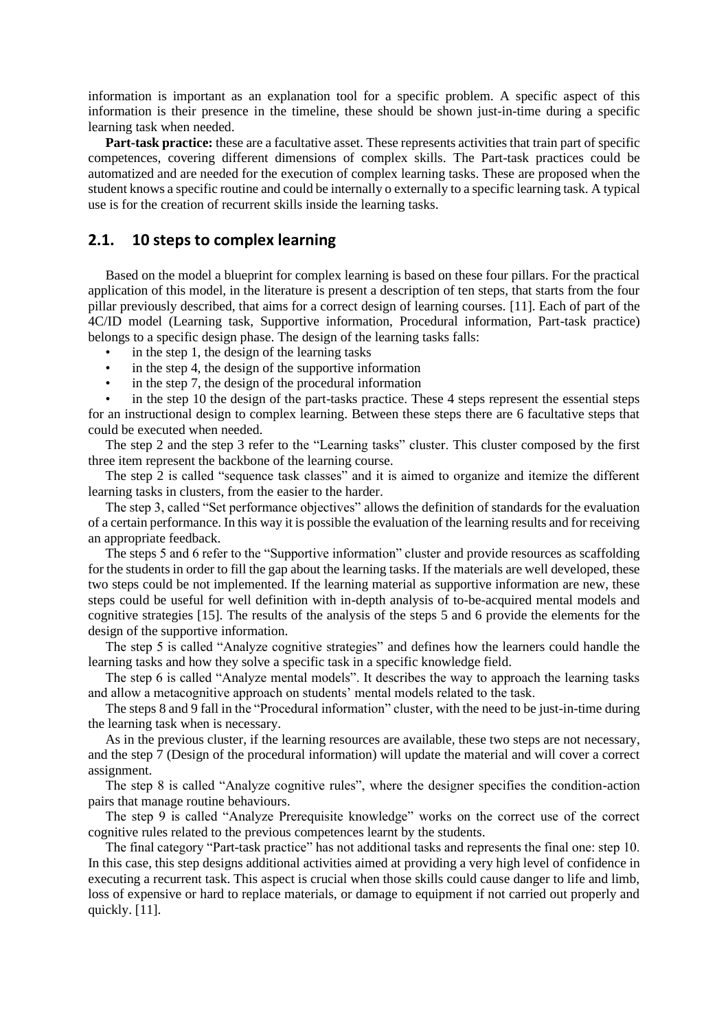information is important as an explanation tool for a specific problem. A specific aspect of this information is their presence in the timeline, these should be shown just-in-time during a specific learning task when needed.

**Part-task practice:** these are a facultative asset. These represents activities that train part of specific competences, covering different dimensions of complex skills. The Part-task practices could be automatized and are needed for the execution of complex learning tasks. These are proposed when the student knows a specific routine and could be internally o externally to a specific learning task. A typical use is for the creation of recurrent skills inside the learning tasks.

### **2.1. 10 steps to complex learning**

Based on the model a blueprint for complex learning is based on these four pillars. For the practical application of this model, in the literature is present a description of ten steps, that starts from the four pillar previously described, that aims for a correct design of learning courses. [11]. Each of part of the 4C/ID model (Learning task, Supportive information, Procedural information, Part-task practice) belongs to a specific design phase. The design of the learning tasks falls:

- in the step 1, the design of the learning tasks
- in the step 4, the design of the supportive information
- in the step 7, the design of the procedural information

in the step 10 the design of the part-tasks practice. These 4 steps represent the essential steps for an instructional design to complex learning. Between these steps there are 6 facultative steps that could be executed when needed.

The step 2 and the step 3 refer to the "Learning tasks" cluster. This cluster composed by the first three item represent the backbone of the learning course.

The step 2 is called "sequence task classes" and it is aimed to organize and itemize the different learning tasks in clusters, from the easier to the harder.

The step 3, called "Set performance objectives" allows the definition of standards for the evaluation of a certain performance. In this way it is possible the evaluation of the learning results and for receiving an appropriate feedback.

The steps 5 and 6 refer to the "Supportive information" cluster and provide resources as scaffolding for the students in order to fill the gap about the learning tasks. If the materials are well developed, these two steps could be not implemented. If the learning material as supportive information are new, these steps could be useful for well definition with in-depth analysis of to-be-acquired mental models and cognitive strategies [15]. The results of the analysis of the steps 5 and 6 provide the elements for the design of the supportive information.

The step 5 is called "Analyze cognitive strategies" and defines how the learners could handle the learning tasks and how they solve a specific task in a specific knowledge field.

The step 6 is called "Analyze mental models". It describes the way to approach the learning tasks and allow a metacognitive approach on students' mental models related to the task.

The steps 8 and 9 fall in the "Procedural information" cluster, with the need to be just-in-time during the learning task when is necessary.

As in the previous cluster, if the learning resources are available, these two steps are not necessary, and the step 7 (Design of the procedural information) will update the material and will cover a correct assignment.

The step 8 is called "Analyze cognitive rules", where the designer specifies the condition-action pairs that manage routine behaviours.

The step 9 is called "Analyze Prerequisite knowledge" works on the correct use of the correct cognitive rules related to the previous competences learnt by the students.

The final category "Part-task practice" has not additional tasks and represents the final one: step 10. In this case, this step designs additional activities aimed at providing a very high level of confidence in executing a recurrent task. This aspect is crucial when those skills could cause danger to life and limb, loss of expensive or hard to replace materials, or damage to equipment if not carried out properly and quickly. [11].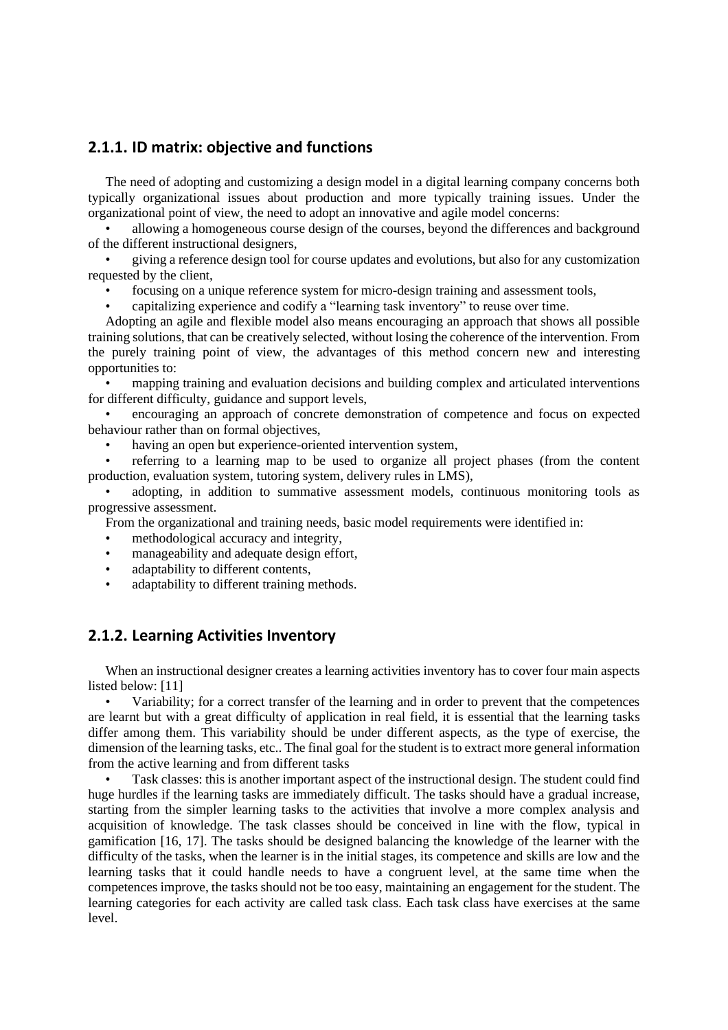# **2.1.1. ID matrix: objective and functions**

The need of adopting and customizing a design model in a digital learning company concerns both typically organizational issues about production and more typically training issues. Under the organizational point of view, the need to adopt an innovative and agile model concerns:

• allowing a homogeneous course design of the courses, beyond the differences and background of the different instructional designers,

• giving a reference design tool for course updates and evolutions, but also for any customization requested by the client,

- focusing on a unique reference system for micro-design training and assessment tools,
- capitalizing experience and codify a "learning task inventory" to reuse over time.

Adopting an agile and flexible model also means encouraging an approach that shows all possible training solutions, that can be creatively selected, without losing the coherence of the intervention. From the purely training point of view, the advantages of this method concern new and interesting opportunities to:

• mapping training and evaluation decisions and building complex and articulated interventions for different difficulty, guidance and support levels,

• encouraging an approach of concrete demonstration of competence and focus on expected behaviour rather than on formal objectives,

having an open but experience-oriented intervention system,

• referring to a learning map to be used to organize all project phases (from the content production, evaluation system, tutoring system, delivery rules in LMS),

• adopting, in addition to summative assessment models, continuous monitoring tools as progressive assessment.

From the organizational and training needs, basic model requirements were identified in:

- methodological accuracy and integrity,
- manageability and adequate design effort,
- adaptability to different contents,
- adaptability to different training methods.

### **2.1.2. Learning Activities Inventory**

When an instructional designer creates a learning activities inventory has to cover four main aspects listed below: [11]

• Variability; for a correct transfer of the learning and in order to prevent that the competences are learnt but with a great difficulty of application in real field, it is essential that the learning tasks differ among them. This variability should be under different aspects, as the type of exercise, the dimension of the learning tasks, etc.. The final goal for the student is to extract more general information from the active learning and from different tasks

• Task classes: this is another important aspect of the instructional design. The student could find huge hurdles if the learning tasks are immediately difficult. The tasks should have a gradual increase, starting from the simpler learning tasks to the activities that involve a more complex analysis and acquisition of knowledge. The task classes should be conceived in line with the flow, typical in gamification [16, 17]. The tasks should be designed balancing the knowledge of the learner with the difficulty of the tasks, when the learner is in the initial stages, its competence and skills are low and the learning tasks that it could handle needs to have a congruent level, at the same time when the competences improve, the tasks should not be too easy, maintaining an engagement for the student. The learning categories for each activity are called task class. Each task class have exercises at the same level.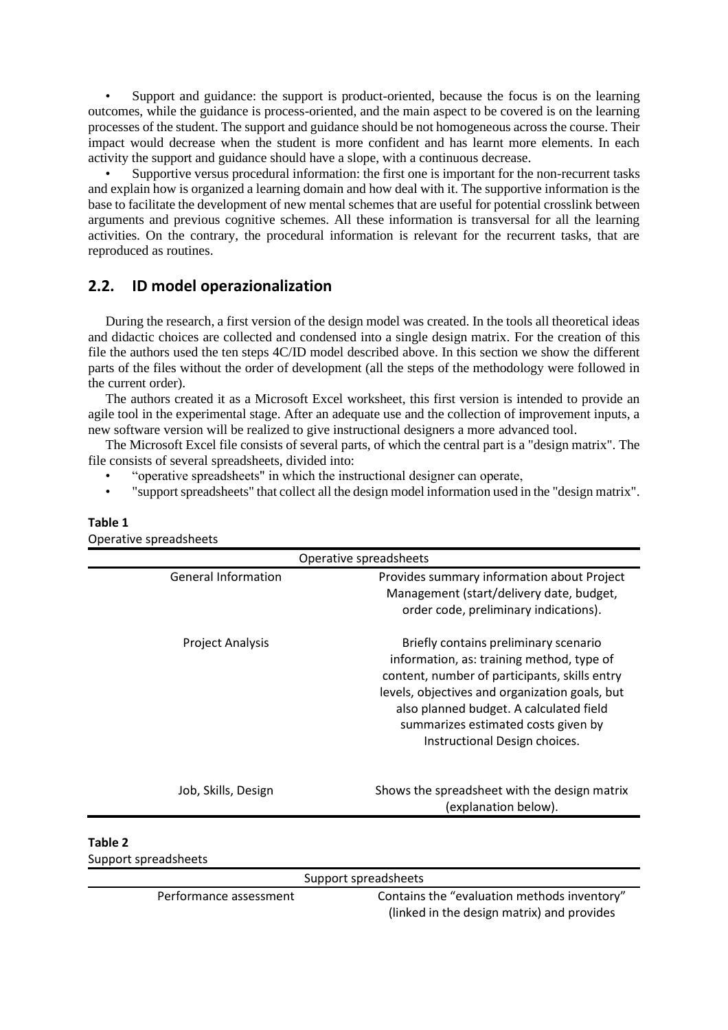Support and guidance: the support is product-oriented, because the focus is on the learning outcomes, while the guidance is process-oriented, and the main aspect to be covered is on the learning processes of the student. The support and guidance should be not homogeneous across the course. Their impact would decrease when the student is more confident and has learnt more elements. In each activity the support and guidance should have a slope, with a continuous decrease.

• Supportive versus procedural information: the first one is important for the non-recurrent tasks and explain how is organized a learning domain and how deal with it. The supportive information is the base to facilitate the development of new mental schemes that are useful for potential crosslink between arguments and previous cognitive schemes. All these information is transversal for all the learning activities. On the contrary, the procedural information is relevant for the recurrent tasks, that are reproduced as routines.

## **2.2. ID model operazionalization**

During the research, a first version of the design model was created. In the tools all theoretical ideas and didactic choices are collected and condensed into a single design matrix. For the creation of this file the authors used the ten steps 4C/ID model described above. In this section we show the different parts of the files without the order of development (all the steps of the methodology were followed in the current order).

The authors created it as a Microsoft Excel worksheet, this first version is intended to provide an agile tool in the experimental stage. After an adequate use and the collection of improvement inputs, a new software version will be realized to give instructional designers a more advanced tool.

The Microsoft Excel file consists of several parts, of which the central part is a "design matrix". The file consists of several spreadsheets, divided into:

- "operative spreadsheets" in which the instructional designer can operate,
- "support spreadsheets" that collect all the design model information used in the "design matrix".

|                            | Operative spreadsheets                                                                                                                                                                                                                                                                                   |
|----------------------------|----------------------------------------------------------------------------------------------------------------------------------------------------------------------------------------------------------------------------------------------------------------------------------------------------------|
| <b>General Information</b> | Provides summary information about Project<br>Management (start/delivery date, budget,<br>order code, preliminary indications).                                                                                                                                                                          |
| <b>Project Analysis</b>    | Briefly contains preliminary scenario<br>information, as: training method, type of<br>content, number of participants, skills entry<br>levels, objectives and organization goals, but<br>also planned budget. A calculated field<br>summarizes estimated costs given by<br>Instructional Design choices. |
| Job, Skills, Design        | Shows the spreadsheet with the design matrix<br>(explanation below).                                                                                                                                                                                                                                     |

#### **Table 1**

Operative spreadsheets

Performance assessment Contains the "evaluation methods inventory" (linked in the design matrix) and provides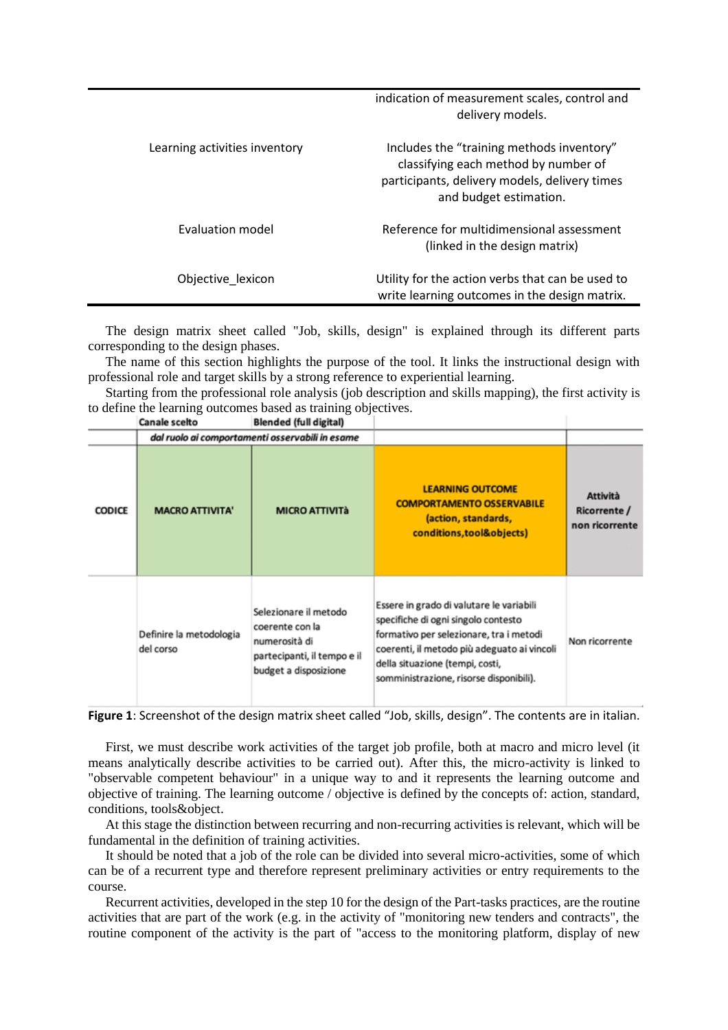|                               | indication of measurement scales, control and<br>delivery models.                                                                                            |
|-------------------------------|--------------------------------------------------------------------------------------------------------------------------------------------------------------|
| Learning activities inventory | Includes the "training methods inventory"<br>classifying each method by number of<br>participants, delivery models, delivery times<br>and budget estimation. |
| Evaluation model              | Reference for multidimensional assessment<br>(linked in the design matrix)                                                                                   |
| Objective lexicon             | Utility for the action verbs that can be used to<br>write learning outcomes in the design matrix.                                                            |

The design matrix sheet called "Job, skills, design" is explained through its different parts corresponding to the design phases.

The name of this section highlights the purpose of the tool. It links the instructional design with professional role and target skills by a strong reference to experiential learning.

Starting from the professional role analysis (job description and skills mapping), the first activity is to define the learning outcomes based as training objectives.

|               | Canale scelto<br>Blended (full digital) |                                                                                                                   |                                                                                                                                                                                                                                                         |                                                   |
|---------------|-----------------------------------------|-------------------------------------------------------------------------------------------------------------------|---------------------------------------------------------------------------------------------------------------------------------------------------------------------------------------------------------------------------------------------------------|---------------------------------------------------|
|               |                                         | dal ruolo ai comportamenti osservabili in esame                                                                   |                                                                                                                                                                                                                                                         |                                                   |
| <b>CODICE</b> | <b>MACRO ATTIVITA'</b>                  | <b>MICRO ATTIVITà</b>                                                                                             | <b>LEARNING OUTCOME</b><br><b>COMPORTAMENTO OSSERVABILE</b><br>(action, standards,<br>conditions, tool&objects)                                                                                                                                         | <b>Attività</b><br>Ricorrente /<br>non ricorrente |
|               | Definire la metodologia<br>del corso    | Selezionare il metodo<br>coerente con la<br>numerosità di<br>partecipanti, il tempo e il<br>budget a disposizione | Essere in grado di valutare le variabili<br>specifiche di ogni singolo contesto<br>formativo per selezionare, tra i metodi<br>coerenti, il metodo più adeguato ai vincoli<br>della situazione (tempi, costi,<br>somministrazione, risorse disponibili). | Non ricorrente                                    |

**Figure 1**: Screenshot of the design matrix sheet called "Job, skills, design". The contents are in italian.

First, we must describe work activities of the target job profile, both at macro and micro level (it means analytically describe activities to be carried out). After this, the micro-activity is linked to "observable competent behaviour" in a unique way to and it represents the learning outcome and objective of training. The learning outcome / objective is defined by the concepts of: action, standard, conditions, tools&object.

At this stage the distinction between recurring and non-recurring activities is relevant, which will be fundamental in the definition of training activities.

It should be noted that a job of the role can be divided into several micro-activities, some of which can be of a recurrent type and therefore represent preliminary activities or entry requirements to the course.

Recurrent activities, developed in the step 10 for the design of the Part-tasks practices, are the routine activities that are part of the work (e.g. in the activity of "monitoring new tenders and contracts", the routine component of the activity is the part of "access to the monitoring platform, display of new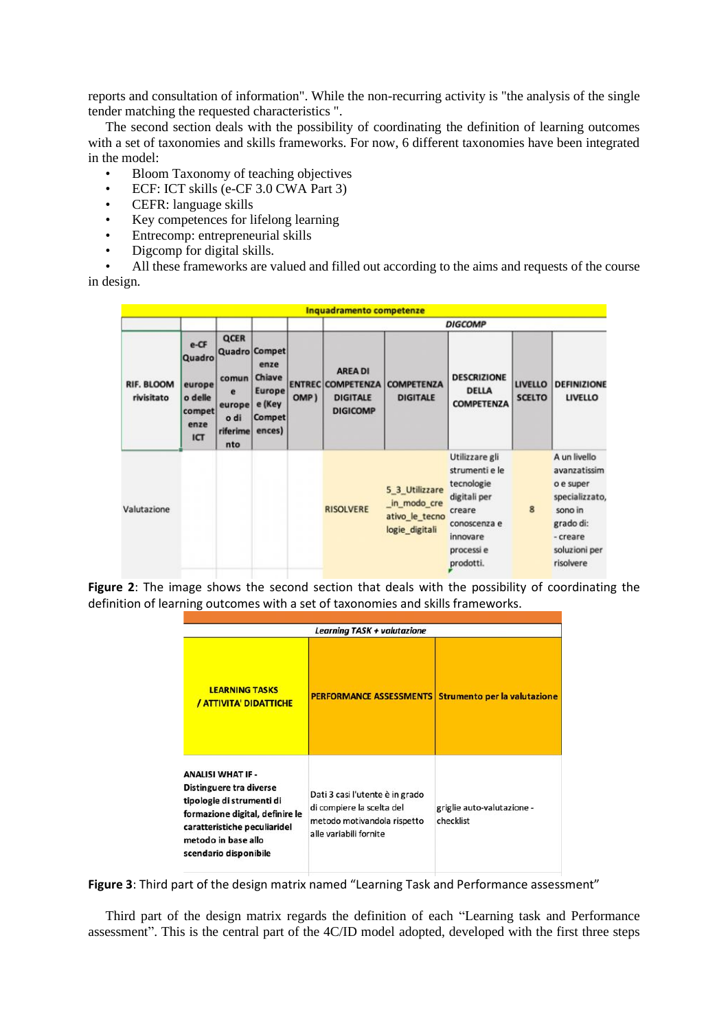reports and consultation of information". While the non-recurring activity is "the analysis of the single tender matching the requested characteristics ".

The second section deals with the possibility of coordinating the definition of learning outcomes with a set of taxonomies and skills frameworks. For now, 6 different taxonomies have been integrated in the model:

- Bloom Taxonomy of teaching objectives
- ECF: ICT skills (e-CF 3.0 CWA Part 3)
- CEFR: language skills
- Key competences for lifelong learning
- Entrecomp: entrepreneurial skills
- Digcomp for digital skills.

• All these frameworks are valued and filled out according to the aims and requests of the course in design.

|                                 |                                                              |                                                         |                                                                                              |      | Inquadramento competenze                                                         |                                                                   |                                                                                                                                 |                                 |                                                                                                                               |
|---------------------------------|--------------------------------------------------------------|---------------------------------------------------------|----------------------------------------------------------------------------------------------|------|----------------------------------------------------------------------------------|-------------------------------------------------------------------|---------------------------------------------------------------------------------------------------------------------------------|---------------------------------|-------------------------------------------------------------------------------------------------------------------------------|
|                                 |                                                              |                                                         |                                                                                              |      | <b>DIGCOMP</b>                                                                   |                                                                   |                                                                                                                                 |                                 |                                                                                                                               |
| <b>RIF. BLOOM</b><br>rivisitato | e-CF<br>Quadro<br>europe<br>o delle<br>compet<br>enze<br>ICT | QCER<br>comun<br>e<br>europe<br>o di<br>riferime<br>nto | <b>Quadro Compet</b><br>enze<br>Chiave<br><b>Europe</b><br>e (Key<br><b>Compet</b><br>ences) | OMP) | <b>AREA DI</b><br><b>ENTREC COMPETENZA</b><br><b>DIGITALE</b><br><b>DIGICOMP</b> | <b>COMPETENZA</b><br><b>DIGITALE</b>                              | <b>DESCRIZIONE</b><br><b>DELLA</b><br><b>COMPETENZA</b>                                                                         | <b>LIVELLO</b><br><b>SCELTO</b> | <b>DEFINIZIONE</b><br><b>LIVELLO</b>                                                                                          |
| Valutazione                     |                                                              |                                                         |                                                                                              |      | <b>RISOLVERE</b>                                                                 | 5_3_Utilizzare<br>in modo cre<br>ativo_le_tecno<br>logie digitali | Utilizzare gli<br>strumenti e le<br>tecnologie<br>digitali per<br>creare<br>conoscenza e<br>innovare<br>processi e<br>prodotti. | 8                               | A un livello<br>avanzatissim<br>o e super<br>specializzato,<br>sono in<br>grado di:<br>- creare<br>soluzioni per<br>risolvere |

**Figure 2**: The image shows the second section that deals with the possibility of coordinating the definition of learning outcomes with a set of taxonomies and skills frameworks.

| <b>Learning TASK + valutazione</b>                                                                                                                                                                  |                                                                                                                       |                                         |  |  |  |
|-----------------------------------------------------------------------------------------------------------------------------------------------------------------------------------------------------|-----------------------------------------------------------------------------------------------------------------------|-----------------------------------------|--|--|--|
| <b>LEARNING TASKS</b><br>/ ATTIVITA' DIDATTICHE                                                                                                                                                     | <b>PERFORMANCE ASSESSMENTS</b>                                                                                        | <b>Strumento per la valutazione</b>     |  |  |  |
| <b>ANALISI WHAT IF -</b><br>Distinguere tra diverse<br>tipologie di strumenti di<br>formazione digital, definire le<br>caratteristiche peculiaridel<br>metodo in base allo<br>scendario disponibile | Dati 3 casi l'utente è in grado<br>di compiere la scelta del<br>metodo motivandola rispetto<br>alle variabili fornite | griglie auto-valutazione -<br>checklist |  |  |  |

**Figure 3**: Third part of the design matrix named "Learning Task and Performance assessment"

Third part of the design matrix regards the definition of each "Learning task and Performance assessment". This is the central part of the 4C/ID model adopted, developed with the first three steps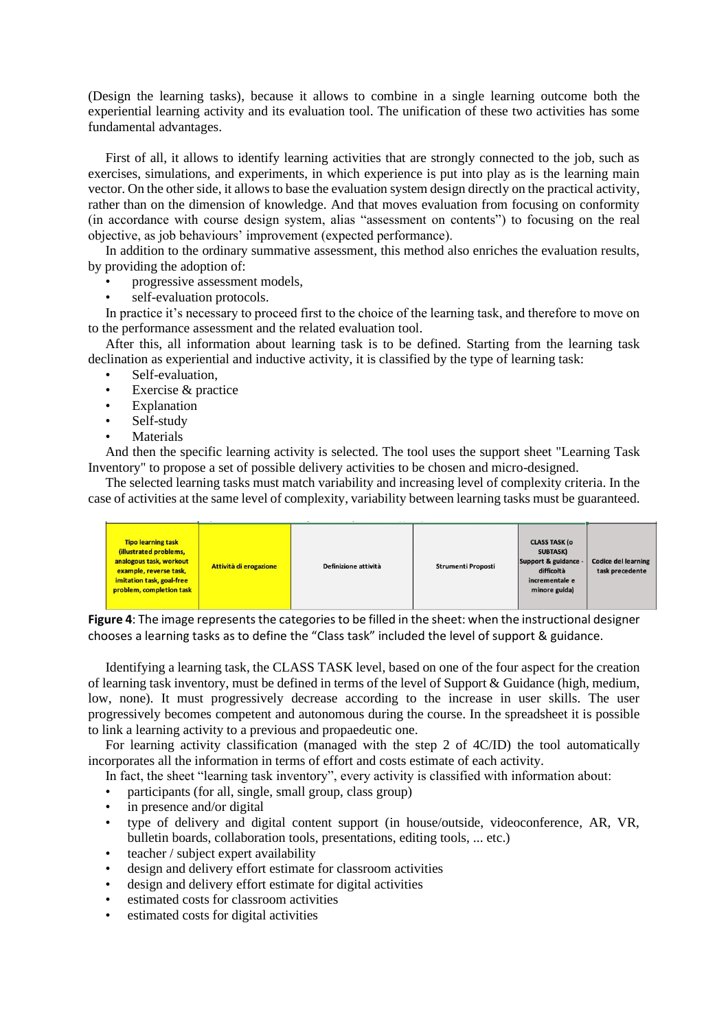(Design the learning tasks), because it allows to combine in a single learning outcome both the experiential learning activity and its evaluation tool. The unification of these two activities has some fundamental advantages.

First of all, it allows to identify learning activities that are strongly connected to the job, such as exercises, simulations, and experiments, in which experience is put into play as is the learning main vector. On the other side, it allows to base the evaluation system design directly on the practical activity, rather than on the dimension of knowledge. And that moves evaluation from focusing on conformity (in accordance with course design system, alias "assessment on contents") to focusing on the real objective, as job behaviours' improvement (expected performance).

In addition to the ordinary summative assessment, this method also enriches the evaluation results, by providing the adoption of:

- progressive assessment models,
- self-evaluation protocols.

In practice it's necessary to proceed first to the choice of the learning task, and therefore to move on to the performance assessment and the related evaluation tool.

After this, all information about learning task is to be defined. Starting from the learning task declination as experiential and inductive activity, it is classified by the type of learning task:

- Self-evaluation.
- Exercise & practice
- **Explanation**
- Self-study
- **Materials**

And then the specific learning activity is selected. The tool uses the support sheet "Learning Task Inventory" to propose a set of possible delivery activities to be chosen and micro-designed.

The selected learning tasks must match variability and increasing level of complexity criteria. In the case of activities at the same level of complexity, variability between learning tasks must be guaranteed.

| <b>Tipo learning task</b><br>(illustrated problems,<br>analogous task, workout<br>example, reverse task,<br>imitation task, goal-free<br>problem, completion task | Attività di erogazione | Definizione attività | <b>Strumenti Proposti</b> | <b>CLASS TASK (o</b><br>SUBTASK)<br>Support & guidance -<br>difficoltà<br>incrementale e<br>minore guida) | <b>Codice del learning</b><br>task precedente |
|-------------------------------------------------------------------------------------------------------------------------------------------------------------------|------------------------|----------------------|---------------------------|-----------------------------------------------------------------------------------------------------------|-----------------------------------------------|
|-------------------------------------------------------------------------------------------------------------------------------------------------------------------|------------------------|----------------------|---------------------------|-----------------------------------------------------------------------------------------------------------|-----------------------------------------------|

**Figure 4**: The image represents the categories to be filled in the sheet: when the instructional designer chooses a learning tasks as to define the "Class task" included the level of support & guidance.

Identifying a learning task, the CLASS TASK level, based on one of the four aspect for the creation of learning task inventory, must be defined in terms of the level of Support & Guidance (high, medium, low, none). It must progressively decrease according to the increase in user skills. The user progressively becomes competent and autonomous during the course. In the spreadsheet it is possible to link a learning activity to a previous and propaedeutic one.

For learning activity classification (managed with the step 2 of 4C/ID) the tool automatically incorporates all the information in terms of effort and costs estimate of each activity.

In fact, the sheet "learning task inventory", every activity is classified with information about:

- participants (for all, single, small group, class group)
- in presence and/or digital
- type of delivery and digital content support (in house/outside, videoconference, AR, VR, bulletin boards, collaboration tools, presentations, editing tools, ... etc.)
- teacher / subject expert availability
- design and delivery effort estimate for classroom activities
- design and delivery effort estimate for digital activities
- estimated costs for classroom activities
- estimated costs for digital activities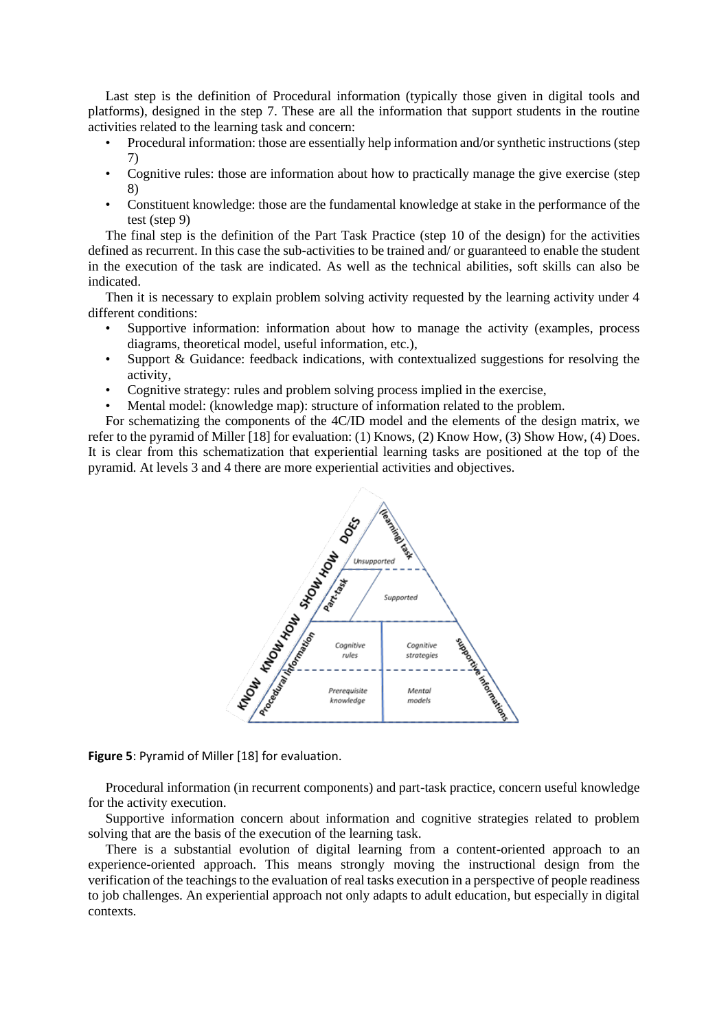Last step is the definition of Procedural information (typically those given in digital tools and platforms), designed in the step 7. These are all the information that support students in the routine activities related to the learning task and concern:

- Procedural information: those are essentially help information and/or synthetic instructions (step 7)
- Cognitive rules: those are information about how to practically manage the give exercise (step 8)
- Constituent knowledge: those are the fundamental knowledge at stake in the performance of the test (step 9)

The final step is the definition of the Part Task Practice (step 10 of the design) for the activities defined as recurrent. In this case the sub-activities to be trained and/ or guaranteed to enable the student in the execution of the task are indicated. As well as the technical abilities, soft skills can also be indicated.

Then it is necessary to explain problem solving activity requested by the learning activity under 4 different conditions:

- Supportive information: information about how to manage the activity (examples, process diagrams, theoretical model, useful information, etc.),
- Support & Guidance: feedback indications, with contextualized suggestions for resolving the activity,
- Cognitive strategy: rules and problem solving process implied in the exercise,
- Mental model: (knowledge map): structure of information related to the problem.

For schematizing the components of the 4C/ID model and the elements of the design matrix, we refer to the pyramid of Miller [18] for evaluation: (1) Knows, (2) Know How, (3) Show How, (4) Does. It is clear from this schematization that experiential learning tasks are positioned at the top of the pyramid. At levels 3 and 4 there are more experiential activities and objectives.



**Figure 5**: Pyramid of Miller [18] for evaluation.

Procedural information (in recurrent components) and part-task practice, concern useful knowledge for the activity execution.

Supportive information concern about information and cognitive strategies related to problem solving that are the basis of the execution of the learning task.

There is a substantial evolution of digital learning from a content-oriented approach to an experience-oriented approach. This means strongly moving the instructional design from the verification of the teachings to the evaluation of real tasks execution in a perspective of people readiness to job challenges. An experiential approach not only adapts to adult education, but especially in digital contexts.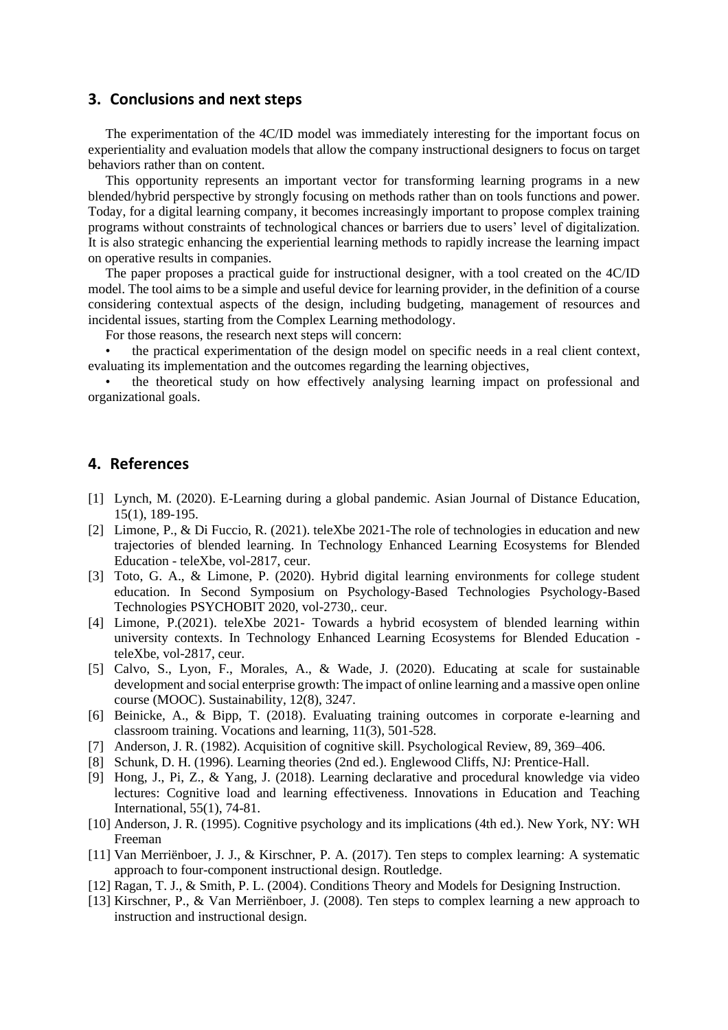#### **3. Conclusions and next steps**

The experimentation of the 4C/ID model was immediately interesting for the important focus on experientiality and evaluation models that allow the company instructional designers to focus on target behaviors rather than on content.

This opportunity represents an important vector for transforming learning programs in a new blended/hybrid perspective by strongly focusing on methods rather than on tools functions and power. Today, for a digital learning company, it becomes increasingly important to propose complex training programs without constraints of technological chances or barriers due to users' level of digitalization. It is also strategic enhancing the experiential learning methods to rapidly increase the learning impact on operative results in companies.

The paper proposes a practical guide for instructional designer, with a tool created on the 4C/ID model. The tool aims to be a simple and useful device for learning provider, in the definition of a course considering contextual aspects of the design, including budgeting, management of resources and incidental issues, starting from the Complex Learning methodology.

For those reasons, the research next steps will concern:

• the practical experimentation of the design model on specific needs in a real client context, evaluating its implementation and the outcomes regarding the learning objectives,

• the theoretical study on how effectively analysing learning impact on professional and organizational goals.

### **4. References**

- [1] Lynch, M. (2020). E-Learning during a global pandemic. Asian Journal of Distance Education, 15(1), 189-195.
- [2] Limone, P., & Di Fuccio, R. (2021). teleXbe 2021-The role of technologies in education and new trajectories of blended learning. In Technology Enhanced Learning Ecosystems for Blended Education - teleXbe, vol-2817, ceur.
- [3] Toto, G. A., & Limone, P. (2020). Hybrid digital learning environments for college student education. In Second Symposium on Psychology-Based Technologies Psychology-Based Technologies PSYCHOBIT 2020, vol-2730,. ceur.
- [4] Limone, P.(2021). teleXbe 2021- Towards a hybrid ecosystem of blended learning within university contexts. In Technology Enhanced Learning Ecosystems for Blended Education teleXbe, vol-2817, ceur.
- [5] Calvo, S., Lyon, F., Morales, A., & Wade, J. (2020). Educating at scale for sustainable development and social enterprise growth: The impact of online learning and a massive open online course (MOOC). Sustainability, 12(8), 3247.
- [6] Beinicke, A., & Bipp, T. (2018). Evaluating training outcomes in corporate e-learning and classroom training. Vocations and learning, 11(3), 501-528.
- [7] Anderson, J. R. (1982). Acquisition of cognitive skill. Psychological Review, 89, 369–406.
- [8] Schunk, D. H. (1996). Learning theories (2nd ed.). Englewood Cliffs, NJ: Prentice-Hall.
- [9] Hong, J., Pi, Z., & Yang, J. (2018). Learning declarative and procedural knowledge via video lectures: Cognitive load and learning effectiveness. Innovations in Education and Teaching International, 55(1), 74-81.
- [10] Anderson, J. R. (1995). Cognitive psychology and its implications (4th ed.). New York, NY: WH Freeman
- [11] Van Merriënboer, J. J., & Kirschner, P. A. (2017). Ten steps to complex learning: A systematic approach to four-component instructional design. Routledge.
- [12] Ragan, T. J., & Smith, P. L. (2004). Conditions Theory and Models for Designing Instruction.
- [13] Kirschner, P., & Van Merriënboer, J. (2008). Ten steps to complex learning a new approach to instruction and instructional design.